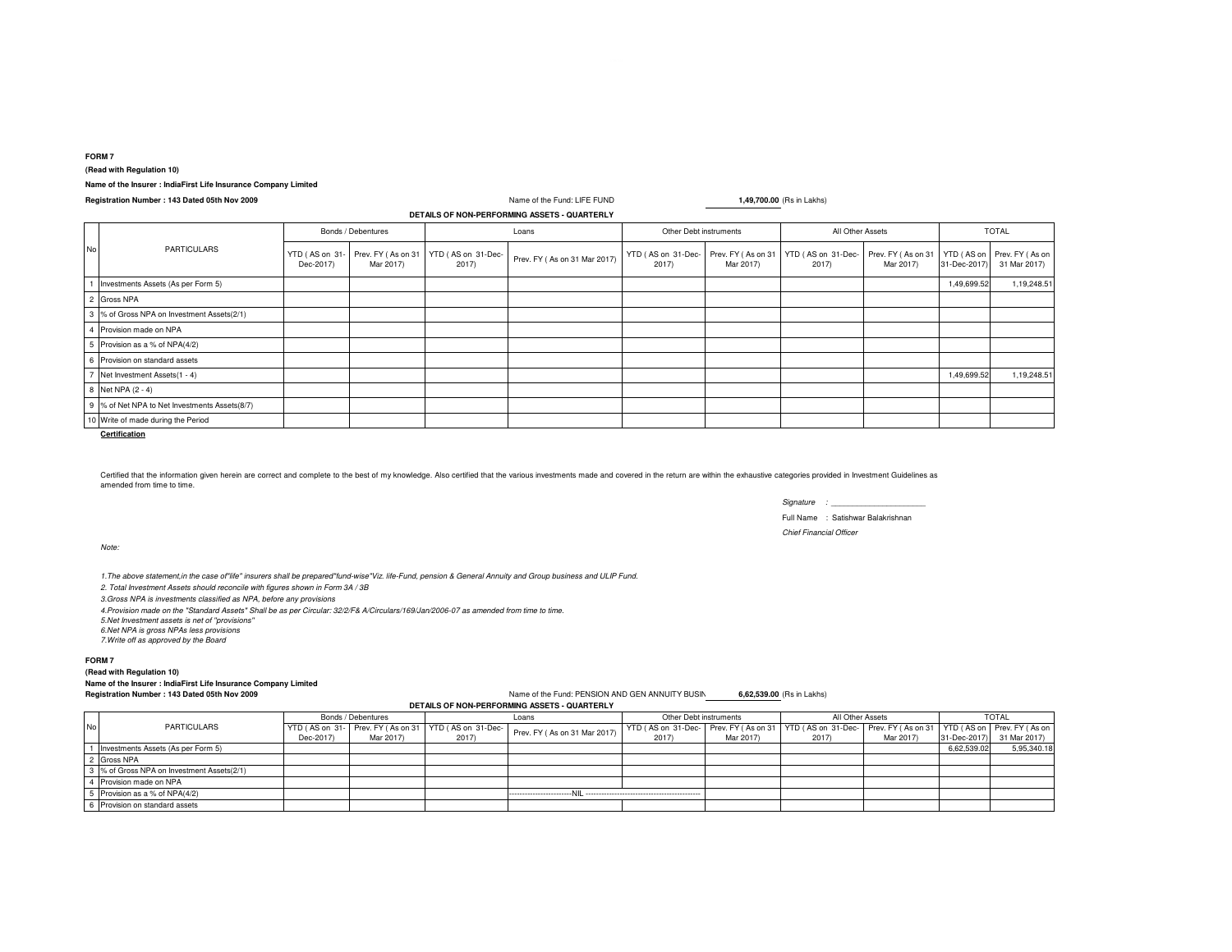## **FORM 7**

**(Read with Regulation 10)**

# **Name of the Insurer : IndiaFirst Life Insurance Company Limited**

**Registration Number : 143 Dated 05th Nov 2009**

#### Name of the Fund: LIFE FUND **1,49,700.00** (Rs in Lakhs) YTD ( AS on 31-Dec-2017)Prev. FY ( As on 31 Mar 2017)YTD ( AS on 31-Dec-2017) Prev. FY ( As on 31 Mar 2017) YTD ( AS on 31-Dec- 2017) Prev. FY ( As on 31 Mar 2017) YTD ( AS on 31-Dec- 2017) Prev. FY ( As on 31 Mar 2017) YTD ( AS on 31-Dec-2017) Prev. FY ( As on 31 Mar 2017) **DETAILS OF NON-PERFORMING ASSETS - QUARTERLY**No PARTICULARSBonds / DebenturesLoans Other Debt instruments All Other Assets

| Investments Assets (As per Form 5)            |  |  |  |  | 1,49,699.52 | 1,19,248.5 |
|-----------------------------------------------|--|--|--|--|-------------|------------|
| 2 Gross NPA                                   |  |  |  |  |             |            |
| 3 % of Gross NPA on Investment Assets(2/1)    |  |  |  |  |             |            |
| 4 Provision made on NPA                       |  |  |  |  |             |            |
| 5 Provision as a % of NPA(4/2)                |  |  |  |  |             |            |
| 6 Provision on standard assets                |  |  |  |  |             |            |
| 7 Net Investment Assets (1 - 4)               |  |  |  |  | 1,49,699.52 | 1,19,248.5 |
| 8 Net NPA (2 - 4)                             |  |  |  |  |             |            |
| 9 % of Net NPA to Net Investments Assets(8/7) |  |  |  |  |             |            |
| 10 Write of made during the Period            |  |  |  |  |             |            |

**Certification**

Certified that the information given herein are correct and complete to the best of my knowledge. Also certified that the various investments made and covered in the return are within the exhaustive categories provided in amended from time to time.

*Signature : \_\_\_\_\_\_\_\_\_\_\_\_\_\_\_\_\_\_\_\_\_\_*

TOTAL

Full Name : Satishwar Balakrishnan*Chief Financial Officer*

*Note:*

*1.The above statement,in the case of"life" insurers shall be prepared"fund-wise"Viz. life-Fund, pension & General Annuity and Group business and ULIP Fund.*

*2. Total Investment Assets should reconcile with figures shown in Form 3A / 3B*

*3.Gross NPA is investments classified as NPA, before any provisions*

*4.Provision made on the "Standard Assets" Shall be as per Circular: 32/2/F& A/Circulars/169/Jan/2006-07 as amended from time to time.*

*5.Net Investment assets is net of ''provisions''*

*6.Net NPA is gross NPAs less provisions*

*7.Write off as approved by the Board*

# **FORM 7**

### **(Read with Regulation 10) Name of the Insurer : IndiaFirst Life Insurance Company LimitedRegistration Number : 143 Dated 05th Nov 2009**

Name of the Fund: PENSION AND GEN ANNUITY BUSIN **6,62,539.00** (Rs in Lakhs)

# **DETAILS OF NON-PERFORMING ASSETS - QUARTERLY**

| No I | <b>PARTICULARS</b>                         | Bonds / Debentures |           | Loans                                                |                              | Other Debt instruments                                                                                 |           | All Other Assets |           | <b>TOTAL</b> |                           |
|------|--------------------------------------------|--------------------|-----------|------------------------------------------------------|------------------------------|--------------------------------------------------------------------------------------------------------|-----------|------------------|-----------|--------------|---------------------------|
|      |                                            |                    |           | YTD (AS on 31- Prev. FY (As on 31 YTD (AS on 31-Dec- | Prev. FY (As on 31 Mar 2017) | YTD (AS on 31-Dec- Prev. FY (As on 31 YTD (AS on 31-Dec- Prev. FY (As on 31 YTD (AS on Prev. FY (As on |           |                  |           |              |                           |
|      |                                            | Dec-2017)          | Mar 2017) | 2017)                                                |                              | 2017                                                                                                   | Mar 2017) | 2017)            | Mar 2017) |              | 31-Dec-2017) 31 Mar 2017) |
|      | Investments Assets (As per Form 5)         |                    |           |                                                      |                              |                                                                                                        |           |                  |           | 6,62,539.02  | 5,95,340.18               |
|      | Gross NPA                                  |                    |           |                                                      |                              |                                                                                                        |           |                  |           |              |                           |
|      | 3 % of Gross NPA on Investment Assets(2/1) |                    |           |                                                      |                              |                                                                                                        |           |                  |           |              |                           |
|      | 4 Provision made on NPA                    |                    |           |                                                      |                              |                                                                                                        |           |                  |           |              |                           |
|      | 5 Provision as a % of NPA(4/2)             |                    |           |                                                      |                              |                                                                                                        |           |                  |           |              |                           |
|      | 6 Provision on standard assets             |                    |           |                                                      |                              |                                                                                                        |           |                  |           |              |                           |